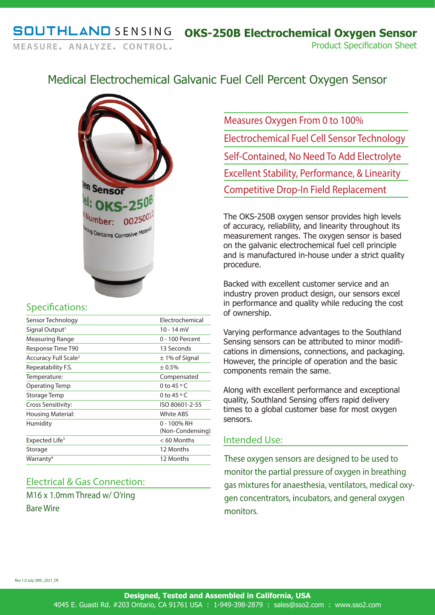# Medical Electrochemical Galvanic Fuel Cell Percent Oxygen Sensor



### Specifications:

| Sensor Technology                | Electrochemical                 |
|----------------------------------|---------------------------------|
| Signal Output <sup>1</sup>       | 10 - 14 mV                      |
| <b>Measuring Range</b>           | 0 - 100 Percent                 |
| Response Time T90                | 13 Seconds                      |
| Accuracy Full Scale <sup>2</sup> | $\pm$ 1% of Signal              |
| Repeatability F.S.               | ± 0.5%                          |
| Temperature:                     | Compensated                     |
| Operating Temp                   | 0 to 45 $\circ$ C               |
| Storage Temp                     | 0 to $45 \circ C$               |
| Cross Sensitivity:               | ISO 80601-2-55                  |
| Housing Material:                | <b>White ABS</b>                |
| Humidity                         | 0 - 100% RH<br>(Non-Condensing) |
| Expected Life <sup>3</sup>       | $< 60$ Months                   |
| Storage                          | 12 Months                       |
| Warranty <sup>4</sup>            | 12 Months                       |
|                                  |                                 |

## Electrical & Gas Connection:

M16 x 1.0mm Thread w/ O'ring Bare Wire

Measures Oxygen From 0 to 100% Electrochemical Fuel Cell Sensor Technology Self-Contained, No Need To Add Electrolyte Excellent Stability, Performance, & Linearity Competitive Drop-In Field Replacement

The OKS-250B oxygen sensor provides high levels of accuracy, reliability, and linearity throughout its measurement ranges. The oxygen sensor is based on the galvanic electrochemical fuel cell principle and is manufactured in-house under a strict quality procedure.

Backed with excellent customer service and an industry proven product design, our sensors excel in performance and quality while reducing the cost of ownership.

Varying performance advantages to the Southland Sensing sensors can be attributed to minor modifications in dimensions, connections, and packaging. However, the principle of operation and the basic components remain the same.

Along with excellent performance and exceptional quality, Southland Sensing offers rapid delivery times to a global customer base for most oxygen sensors.

### Intended Use:

These oxygen sensors are designed to be used to monitor the partial pressure of oxygen in breathing gas mixtures for anaesthesia, ventilators, medical oxygen concentrators, incubators, and general oxygen monitors.

Rev 1.0 July 29th\_2021\_DF